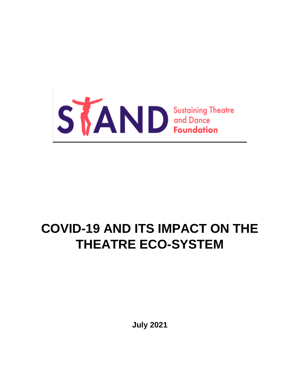

# **COVID-19 AND ITS IMPACT ON THE THEATRE ECO-SYSTEM**

**July 2021**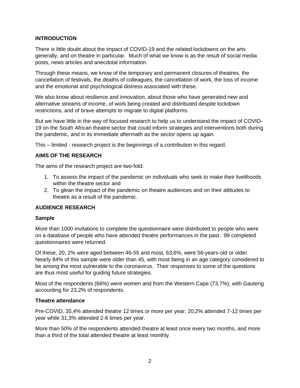# **INTRODUCTION**

There is little doubt about the impact of COVID-19 and the related lockdowns on the arts generally, and on theatre in particular. Much of what we know is as the result of social media posts, news articles and anecdotal information.

Through these means, we know of the temporary and permanent closures of theatres, the cancellation of festivals, the deaths of colleagues, the cancellation of work, the loss of income and the emotional and psychological distress associated with these.

We also know about resilience and innovation, about those who have generated new and alternative streams of income, of work being created and distributed despite lockdown restrictions, and of brave attempts to migrate to digital platforms.

But we have little in the way of focused research to help us to understand the impact of COVID-19 on the South African theatre sector that could inform strategies and interventions both during the pandemic, and in its immediate aftermath as the sector opens up again.

This – limited - research project is the beginnings of a contribution in this regard.

# **AIMS OF THE RESEARCH**

The aims of the research project are two-fold:

- 1. To assess the impact of the pandemic on individuals who seek to make their livelihoods within the theatre sector and
- 2. To glean the impact of the pandemic on theatre audiences and on their attitudes to theatre as a result of the pandemic.

## **AUDIENCE RESEARCH**

## **Sample**

More than 1000 invitations to complete the questionnaire were distributed to people who were on a database of people who have attended theatre performances in the past. 99 completed questionnaires were returned.

Of these, 20, 2% were aged between 46-55 and most, 63,6%, were 56-years-old or older. Nearly 84% of this sample were older than 45, with most being in an age category considered to be among the most vulnerable to the coronavirus. Their responses to some of the questions are thus most useful for guiding future strategies.

Most of the respondents (66%) were women and from the Western Cape (73,7%), with Gauteng accounting for 23,2% of respondents.

## **Theatre attendance**

Pre-COVID, 35,4% attended theatre 12 times or more per year; 20,2% attended 7-12 times per year while 31,3% attended 2-6 times per year.

More than 50% of the respondents attended theatre at least once every two months, and more than a third of the total attended theatre at least monthly.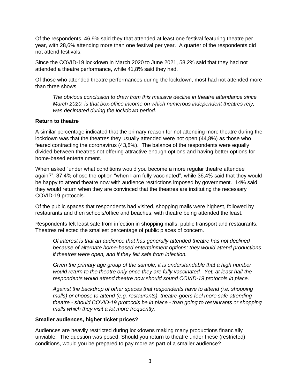Of the respondents, 46,9% said they that attended at least one festival featuring theatre per year, with 28,6% attending more than one festival per year. A quarter of the respondents did not attend festivals.

Since the COVID-19 lockdown in March 2020 to June 2021, 58.2% said that they had not attended a theatre performance, while 41,8% said they had.

Of those who attended theatre performances during the lockdown, most had not attended more than three shows.

*The obvious conclusion to draw from this massive decline in theatre attendance since March 2020, is that box-office income on which numerous independent theatres rely, was decimated during the lockdown period.* 

## **Return to theatre**

A similar percentage indicated that the primary reason for not attending more theatre during the lockdown was that the theatres they usually attended were not open (44,8%) as those who feared contracting the coronavirus (43,8%). The balance of the respondents were equally divided between theatres not offering attractive enough options and having better options for home-based entertainment.

When asked "under what conditions would you become a more regular theatre attendee again?", 37,4% chose the option "when I am fully vaccinated", while 36,4% said that they would be happy to attend theatre now with audience restrictions imposed by government. 14% said they would return when they are convinced that the theatres are instituting the necessary COVID-19 protocols.

Of the public spaces that respondents had visited, shopping malls were highest, followed by restaurants and then schools/office and beaches, with theatre being attended the least.

Respondents felt least safe from infection in shopping malls, public transport and restaurants. Theatres reflected the smallest percentage of public places of concern.

*Of interest is that an audience that has generally attended theatre has not declined because of alternate home-based entertainment options; they would attend productions if theatres were open, and if they felt safe from infection.* 

*Given the primary age group of the sample, it is understandable that a high number would return to the theatre only once they are fully vaccinated. Yet, at least half the respondents would attend theatre now should sound COVID-19 protocols in place.*

*Against the backdrop of other spaces that respondents have to attend (i.e. shopping malls) or choose to attend (e.g. restaurants), theatre-goers feel more safe attending theatre - should COVID-19 protocols be in place - than going to restaurants or shopping malls which they visit a lot more frequently.*

#### **Smaller audiences, higher ticket prices?**

Audiences are heavily restricted during lockdowns making many productions financially unviable. The question was posed: Should you return to theatre under these (restricted) conditions, would you be prepared to pay more as part of a smaller audience?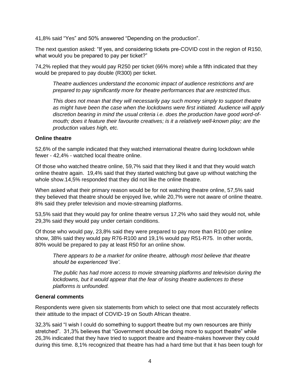41,8% said "Yes" and 50% answered "Depending on the production".

The next question asked: "If yes, and considering tickets pre-COVID cost in the region of R150, what would you be prepared to pay per ticket?"

74,2% replied that they would pay R250 per ticket (66% more) while a fifth indicated that they would be prepared to pay double (R300) per ticket.

*Theatre audiences understand the economic impact of audience restrictions and are prepared to pay significantly more for theatre performances that are restricted thus.*

*This does not mean that they will necessarily pay such money simply to support theatre as might have been the case when the lockdowns were first initiated. Audience will apply discretion bearing in mind the usual criteria i.e. does the production have good word-ofmouth; does it feature their favourite creatives; is it a relatively well-known play; are the production values high, etc.*

## **Online theatre**

52,6% of the sample indicated that they watched international theatre during lockdown while fewer - 42,4% - watched local theatre online.

Of those who watched theatre online, 59,7% said that they liked it and that they would watch online theatre again. 19,4% said that they started watching but gave up without watching the whole show.14,5% responded that they did not like the online theatre.

When asked what their primary reason would be for not watching theatre online, 57,5% said they believed that theatre should be enjoyed live, while 20,7% were not aware of online theatre. 8% said they prefer television and movie-streaming platforms.

53,5% said that they would pay for online theatre versus 17,2% who said they would not, while 29,3% said they would pay under certain conditions.

Of those who would pay, 23,8% said they were prepared to pay more than R100 per online show, 38% said they would pay R76-R100 and 19,1% would pay R51-R75. In other words, 80% would be prepared to pay at least R50 for an online show.

*There appears to be a market for online theatre, although most believe that theatre should be experienced 'live'.*

*The public has had more access to movie streaming platforms and television during the lockdowns, but it would appear that the fear of losing theatre audiences to these platforms is unfounded.*

#### **General comments**

Respondents were given six statements from which to select one that most accurately reflects their attitude to the impact of COVID-19 on South African theatre.

32,3% said "I wish I could do something to support theatre but my own resources are thinly stretched". 31,3% believes that "Government should be doing more to support theatre" while 26,3% indicated that they have tried to support theatre and theatre-makes however they could during this time. 8,1% recognized that theatre has had a hard time but that it has been tough for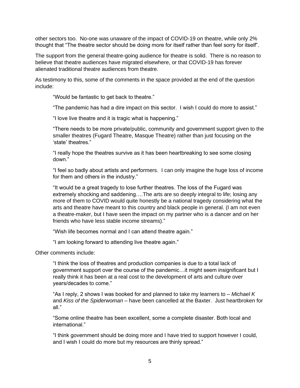other sectors too. No-one was unaware of the impact of COVID-19 on theatre, while only 2% thought that "The theatre sector should be doing more for itself rather than feel sorry for itself".

The support from the general theatre-going audience for theatre is solid. There is no reason to believe that theatre audiences have migrated elsewhere, or that COVID-19 has forever alienated traditional theatre audiences from theatre.

As testimony to this, some of the comments in the space provided at the end of the question include:

"Would be fantastic to get back to theatre."

"The pandemic has had a dire impact on this sector. I wish I could do more to assist."

"I love live theatre and it is tragic what is happening."

"There needs to be more private/public, community and government support given to the smaller theatres (Fugard Theatre, Masque Theatre) rather than just focusing on the 'state' theatres."

"I really hope the theatres survive as it has been heartbreaking to see some closing down."

"I feel so badly about artists and performers. I can only imagine the huge loss of income for them and others in the industry."

"It would be a great tragedy to lose further theatres. The loss of the Fugard was extremely shocking and saddening….The arts are so deeply integral to life; losing any more of them to COVID would quite honestly be a national tragedy considering what the arts and theatre have meant to this country and black people in general. (I am not even a theatre-maker, but I have seen the impact on my partner who is a dancer and on her friends who have less stable income streams)."

"Wish life becomes normal and I can attend theatre again."

"I am looking forward to attending live theatre again."

Other comments include:

"I think the loss of theatres and production companies is due to a total lack of government support over the course of the pandemic…it might seem insignificant but I really think it has been at a real cost to the development of arts and culture over years/decades to come."

"As I reply, 2 shows I was booked for and planned to take my learners to – *Michael K* and *Kiss of the Spiderwoman* – have been cancelled at the Baxter. Just heartbroken for all."

"Some online theatre has been excellent, some a complete disaster. Both local and international."

"I think government should be doing more and I have tried to support however I could, and I wish I could do more but my resources are thinly spread."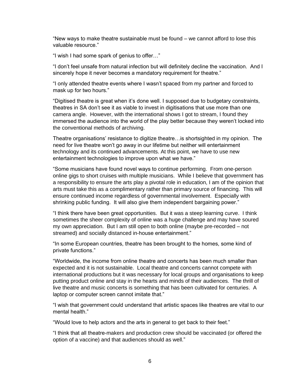"New ways to make theatre sustainable must be found – we cannot afford to lose this valuable resource."

"I wish I had some spark of genius to offer…"

"I don't feel unsafe from natural infection but will definitely decline the vaccination. And I sincerely hope it never becomes a mandatory requirement for theatre."

"I only attended theatre events where I wasn't spaced from my partner and forced to mask up for two hours."

"Digitised theatre is great when it's done well. I supposed due to budgetary constraints, theatres in SA don't see it as viable to invest in digitisations that use more than one camera angle. However, with the international shows I got to stream, I found they immersed the audience into the world of the play better because they weren't locked into the conventional methods of archiving.

Theatre organisations' resistance to digitize theatre…is shortsighted in my opinion. The need for live theatre won't go away in our lifetime but neither will entertainment technology and its continued advancements. At this point, we have to use new entertainment technologies to improve upon what we have."

"Some musicians have found novel ways to continue performing. From one-person online gigs to short cruises with multiple musicians. While I believe that government has a responsibility to ensure the arts play a pivotal role in education, I am of the opinion that arts must take this as a complimentary rather than primary source of financing. This will ensure continued income regardless of governmental involvement. Especially with shrinking public funding. It will also give them independent bargaining power."

"I think there have been great opportunities. But it was a steep learning curve. I think sometimes the sheer complexity of online was a huge challenge and may have soured my own appreciation. But I am still open to both online (maybe pre-recorded – not streamed) and socially distanced in-house entertainment."

"In some European countries, theatre has been brought to the homes, some kind of private functions."

"Worldwide, the income from online theatre and concerts has been much smaller than expected and it is not sustainable. Local theatre and concerts cannot compete with international productions but it was necessary for local groups and organisations to keep putting product online and stay in the hearts and minds of their audiences. The thrill of live theatre and music concerts is something that has been cultivated for centuries. A laptop or computer screen cannot imitate that."

"I wish that government could understand that artistic spaces like theatres are vital to our mental health."

"Would love to help actors and the arts in general to get back to their feet."

"I think that all theatre-makers and production crew should be vaccinated (or offered the option of a vaccine) and that audiences should as well."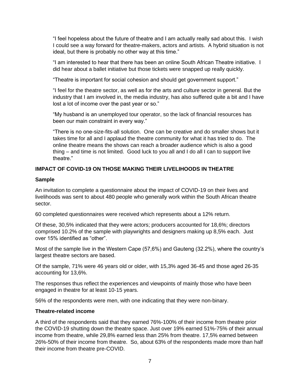"I feel hopeless about the future of theatre and I am actually really sad about this. I wish I could see a way forward for theatre-makers, actors and artists. A hybrid situation is not ideal, but there is probably no other way at this time."

"I am interested to hear that there has been an online South African Theatre initiative. I did hear about a ballet initiative but those tickets were snapped up really quickly.

"Theatre is important for social cohesion and should get government support."

"I feel for the theatre sector, as well as for the arts and culture sector in general. But the industry that I am involved in, the media industry, has also suffered quite a bit and I have lost a lot of income over the past year or so."

"My husband is an unemployed tour operator, so the lack of financial resources has been our main constraint in every way."

"There is no one-size-fits-all solution. One can be creative and do smaller shows but it takes time for all and I applaud the theatre community for what it has tried to do. The online theatre means the shows can reach a broader audience which is also a good thing – and time is not limited. Good luck to you all and I do all I can to support live theatre."

# **IMPACT OF COVID-19 ON THOSE MAKING THEIR LIVELIHOODS IN THEATRE**

## **Sample**

An invitation to complete a questionnaire about the impact of COVID-19 on their lives and livelihoods was sent to about 480 people who generally work within the South African theatre sector.

60 completed questionnaires were received which represents about a 12% return.

Of these, 30,5% indicated that they were actors; producers accounted for 18,6%; directors comprised 10.2% of the sample with playwrights and designers making up 8,5% each. Just over 15% identified as "other".

Most of the sample live in the Western Cape (57,6%) and Gauteng (32.2%), where the country's largest theatre sectors are based.

Of the sample, 71% were 46 years old or older, with 15,3% aged 36-45 and those aged 26-35 accounting for 13,6%.

The responses thus reflect the experiences and viewpoints of mainly those who have been engaged in theatre for at least 10-15 years.

56% of the respondents were men, with one indicating that they were non-binary.

## **Theatre-related income**

A third of the respondents said that they earned 76%-100% of their income from theatre prior the COVID-19 shutting down the theatre space. Just over 19% earned 51%-75% of their annual income from theatre, while 29,8% earned less than 25% from theatre. 17,5% earned between 26%-50% of their income from theatre. So, about 63% of the respondents made more than half their income from theatre pre-COVID.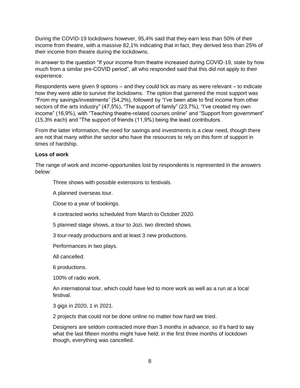During the COVID-19 lockdowns however, 95,4% said that they earn less than 50% of their income from theatre, with a massive 82,1% indicating that in fact, they derived less than 25% of their income from theatre during the lockdowns.

In answer to the question "If your income from theatre increased during COVID-19, state by how much from a similar pre-COVID period", all who responded said that this did not apply to their experience.

Respondents were given 9 options – and they could tick as many as were relevant – to indicate how they were able to survive the lockdowns. The option that garnered the most support was "From my savings/investments" (54,2%), followed by "I've been able to find income from other sectors of the arts industry" (47,5%), "The support of family" (23,7%), "I've created my own income" (16,9%), with "Teaching theatre-related courses online" and "Support from government" (15,3% each) and "The support of friends (11,9%) being the least contributors.

From the latter information, the need for savings and investments is a clear need, though there are not that many within the sector who have the resources to rely on this form of support in times of hardship.

# **Loss of work**

The range of work and income-opportunities lost by respondents is represented in the answers below:

Three shows with possible extensions to festivals.

A planned overseas tour.

Close to a year of bookings.

4 contracted works scheduled from March to October 2020.

5 planned stage shows, a tour to Jozi, two directed shows.

3 tour-ready productions and at least 3 new productions.

Performances in two plays.

All cancelled.

6 productions.

100% of radio work.

An international tour, which could have led to more work as well as a run at a local festival.

3 gigs in 2020, 1 in 2021.

2 projects that could not be done online no matter how hard we tried.

Designers are seldom contracted more than 3 months in advance, so it's hard to say what the last fifteen months might have held; in the first three months of lockdown though, everything was cancelled.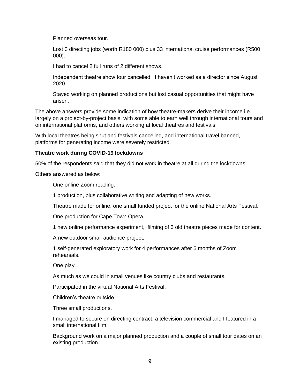Planned overseas tour.

Lost 3 directing jobs (worth R180 000) plus 33 international cruise performances (R500 000).

I had to cancel 2 full runs of 2 different shows.

Independent theatre show tour cancelled. I haven't worked as a director since August 2020.

Stayed working on planned productions but lost casual opportunities that might have arisen.

The above answers provide some indication of how theatre-makers derive their income i.e. largely on a project-by-project basis, with some able to earn well through international tours and on international platforms, and others working at local theatres and festivals.

With local theatres being shut and festivals cancelled, and international travel banned, platforms for generating income were severely restricted.

#### **Theatre work during COVID-19 lockdowns**

50% of the respondents said that they did not work in theatre at all during the lockdowns.

Others answered as below:

One online Zoom reading.

1 production, plus collaborative writing and adapting of new works.

Theatre made for online, one small funded project for the online National Arts Festival.

One production for Cape Town Opera.

1 new online performance experiment, filming of 3 old theatre pieces made for content.

A new outdoor small audience project.

1 self-generated exploratory work for 4 performances after 6 months of Zoom rehearsals.

One play.

As much as we could in small venues like country clubs and restaurants.

Participated in the virtual National Arts Festival.

Children's theatre outside.

Three small productions.

I managed to secure on directing contract, a television commercial and I featured in a small international film.

Background work on a major planned production and a couple of small tour dates on an existing production.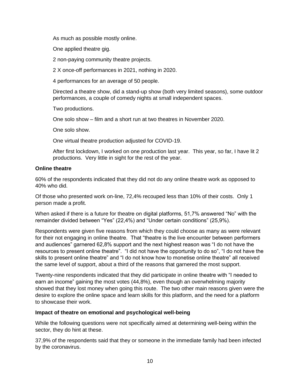As much as possible mostly online.

One applied theatre gig.

2 non-paying community theatre projects.

2 X once-off performances in 2021, nothing in 2020.

4 performances for an average of 50 people.

Directed a theatre show, did a stand-up show (both very limited seasons), some outdoor performances, a couple of comedy nights at small independent spaces.

Two productions.

One solo show – film and a short run at two theatres in November 2020.

One solo show.

One virtual theatre production adjusted for COVID-19.

After first lockdown, I worked on one production last year. This year, so far, I have lit 2 productions. Very little in sight for the rest of the year.

# **Online theatre**

60% of the respondents indicated that they did not do any online theatre work as opposed to 40% who did.

Of those who presented work on-line, 72,4% recouped less than 10% of their costs. Only 1 person made a profit.

When asked if there is a future for theatre on digital platforms, 51,7% answered "No" with the remainder divided between "Yes" (22,4%) and "Under certain conditions" (25,9%).

Respondents were given five reasons from which they could choose as many as were relevant for their not engaging in online theatre. That "theatre is the live encounter between performers and audiences" garnered 62,8% support and the next highest reason was "I do not have the resources to present online theatre". "I did not have the opportunity to do so", "I do not have the skills to present online theatre" and "I do not know how to monetise online theatre" all received the same level of support, about a third of the reasons that garnered the most support.

Twenty-nine respondents indicated that they did participate in online theatre with "I needed to earn an income" gaining the most votes (44,8%), even though an overwhelming majority showed that they lost money when going this route. The two other main reasons given were the desire to explore the online space and learn skills for this platform, and the need for a platform to showcase their work.

## **Impact of theatre on emotional and psychological well-being**

While the following questions were not specifically aimed at determining well-being within the sector, they do hint at these.

37,9% of the respondents said that they or someone in the immediate family had been infected by the coronavirus.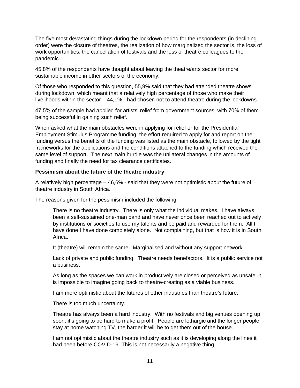The five most devastating things during the lockdown period for the respondents (in declining order) were the closure of theatres, the realization of how marginalized the sector is, the loss of work opportunities, the cancellation of festivals and the loss of theatre colleagues to the pandemic.

45,8% of the respondents have thought about leaving the theatre/arts sector for more sustainable income in other sectors of the economy.

Of those who responded to this question, 55,9% said that they had attended theatre shows during lockdown, which meant that a relatively high percentage of those who make their livelihoods within the sector – 44,1% - had chosen not to attend theatre during the lockdowns.

47,5% of the sample had applied for artists' relief from government sources, with 70% of them being successful in gaining such relief.

When asked what the main obstacles were in applying for relief or for the Presidential Employment Stimulus Programme funding, the effort required to apply for and report on the funding versus the benefits of the funding was listed as the main obstacle, followed by the tight frameworks for the applications and the conditions attached to the funding which received the same level of support. The next main hurdle was the unilateral changes in the amounts of funding and finally the need for tax clearance certificates.

## **Pessimism about the future of the theatre industry**

A relatively high percentage – 46,6% - said that they were not optimistic about the future of theatre industry in South Africa.

The reasons given for the pessimism included the following:

There is no theatre industry. There is only what the individual makes. I have always been a self-sustained one-man band and have never once been reached out to actively by institutions or societies to use my talents and be paid and rewarded for them. All I have done I have done completely alone. Not complaining, but that is how it is in South Africa.

It (theatre) will remain the same. Marginalised and without any support network.

Lack of private and public funding. Theatre needs benefactors. It is a public service not a business.

As long as the spaces we can work in productively are closed or perceived as unsafe, it is impossible to imagine going back to theatre-creating as a viable business.

I am more optimistic about the futures of other industries than theatre's future.

There is too much uncertainty.

Theatre has always been a hard industry. With no festivals and big venues opening up soon, it's going to be hard to make a profit. People are lethargic and the longer people stay at home watching TV, the harder it will be to get them out of the house.

I am not optimistic about the theatre industry such as it is developing along the lines it had been before COVID-19. This is not necessarily a negative thing.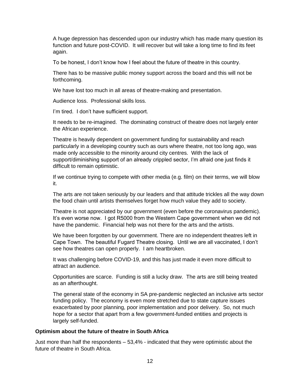A huge depression has descended upon our industry which has made many question its function and future post-COVID. It will recover but will take a long time to find its feet again.

To be honest, I don't know how I feel about the future of theatre in this country.

There has to be massive public money support across the board and this will not be forthcoming.

We have lost too much in all areas of theatre-making and presentation.

Audience loss. Professional skills loss.

I'm tired. I don't have sufficient support.

It needs to be re-imagined. The dominating construct of theatre does not largely enter the African experience.

Theatre is heavily dependent on government funding for sustainability and reach particularly in a developing country such as ours where theatre, not too long ago, was made only accessible to the minority around city centres. With the lack of support/diminishing support of an already crippled sector, I'm afraid one just finds it difficult to remain optimistic.

If we continue trying to compete with other media (e.g. film) on their terms, we will blow it.

The arts are not taken seriously by our leaders and that attitude trickles all the way down the food chain until artists themselves forget how much value they add to society.

Theatre is not appreciated by our government (even before the coronavirus pandemic). It's even worse now. I got R5000 from the Western Cape government when we did not have the pandemic. Financial help was not there for the arts and the artists.

We have been forgotten by our government. There are no independent theatres left in Cape Town. The beautiful Fugard Theatre closing. Until we are all vaccinated, I don't see how theatres can open properly. I am heartbroken.

It was challenging before COVID-19, and this has just made it even more difficult to attract an audience.

Opportunities are scarce. Funding is still a lucky draw. The arts are still being treated as an afterthought.

The general state of the economy in SA pre-pandemic neglected an inclusive arts sector funding policy. The economy is even more stretched due to state capture issues exacerbated by poor planning, poor implementation and poor delivery. So, not much hope for a sector that apart from a few government-funded entities and projects is largely self-funded.

#### **Optimism about the future of theatre in South Africa**

Just more than half the respondents – 53,4% - indicated that they were optimistic about the future of theatre in South Africa.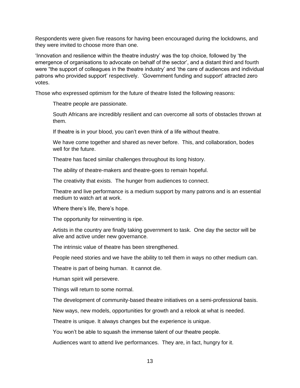Respondents were given five reasons for having been encouraged during the lockdowns, and they were invited to choose more than one.

'Innovation and resilience within the theatre industry' was the top choice, followed by 'the emergence of organisations to advocate on behalf of the sector', and a distant third and fourth were "the support of colleagues in the theatre industry' and 'the care of audiences and individual patrons who provided support' respectively. 'Government funding and support' attracted zero votes.

Those who expressed optimism for the future of theatre listed the following reasons:

Theatre people are passionate.

South Africans are incredibly resilient and can overcome all sorts of obstacles thrown at them.

If theatre is in your blood, you can't even think of a life without theatre.

We have come together and shared as never before. This, and collaboration, bodes well for the future.

Theatre has faced similar challenges throughout its long history.

The ability of theatre-makers and theatre-goes to remain hopeful.

The creativity that exists. The hunger from audiences to connect.

Theatre and live performance is a medium support by many patrons and is an essential medium to watch art at work.

Where there's life, there's hope.

The opportunity for reinventing is ripe.

Artists in the country are finally taking government to task. One day the sector will be alive and active under new governance.

The intrinsic value of theatre has been strengthened.

People need stories and we have the ability to tell them in ways no other medium can.

Theatre is part of being human. It cannot die.

Human spirit will persevere.

Things will return to some normal.

The development of community-based theatre initiatives on a semi-professional basis.

New ways, new models, opportunities for growth and a relook at what is needed.

Theatre is unique. It always changes but the experience is unique.

You won't be able to squash the immense talent of our theatre people.

Audiences want to attend live performances. They are, in fact, hungry for it.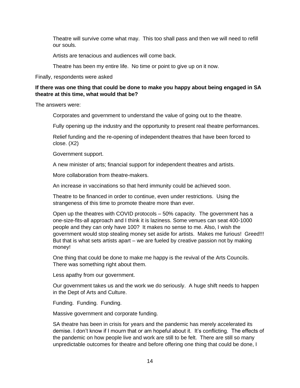Theatre will survive come what may. This too shall pass and then we will need to refill our souls.

Artists are tenacious and audiences will come back.

Theatre has been my entire life. No time or point to give up on it now.

Finally, respondents were asked

## **If there was one thing that could be done to make you happy about being engaged in SA theatre at this time, what would that be?**

The answers were:

Corporates and government to understand the value of going out to the theatre.

Fully opening up the industry and the opportunity to present real theatre performances.

Relief funding and the re-opening of independent theatres that have been forced to close. (X2)

Government support.

A new minister of arts; financial support for independent theatres and artists.

More collaboration from theatre-makers.

An increase in vaccinations so that herd immunity could be achieved soon.

Theatre to be financed in order to continue, even under restrictions. Using the strangeness of this time to promote theatre more than ever.

Open up the theatres with COVID protocols – 50% capacity. The government has a one-size-fits-all approach and I think it is laziness. Some venues can seat 400-1000 people and they can only have 100? It makes no sense to me. Also, I wish the government would stop stealing money set aside for artists. Makes me furious! Greed!!! But that is what sets artists apart – we are fueled by creative passion not by making money!

One thing that could be done to make me happy is the revival of the Arts Councils. There was something right about them.

Less apathy from our government.

Our government takes us and the work we do seriously. A huge shift needs to happen in the Dept of Arts and Culture.

Funding. Funding. Funding.

Massive government and corporate funding.

SA theatre has been in crisis for years and the pandemic has merely accelerated its demise. I don't know if I mourn that or am hopeful about it. It's conflicting. The effects of the pandemic on how people live and work are still to be felt. There are still so many unpredictable outcomes for theatre and before offering one thing that could be done, I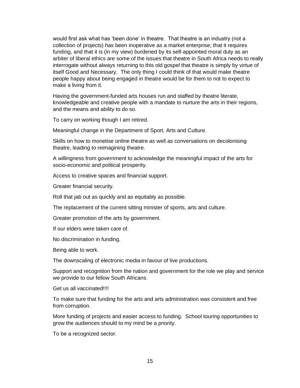would first ask what has 'been done' in theatre. That theatre is an industry (not a collection of projects) has been inoperative as a market enterprise; that it requires funding, and that it is (in my view) burdened by its self-appointed moral duty as an arbiter of liberal ethics are some of the issues that theatre in South Africa needs to really interrogate without always returning to this old gospel that theatre is simply by virtue of itself Good and Necessary. The only thing I could think of that would make theatre people happy about being engaged in theatre would be for them to not to expect to make a living from it.

Having the government-funded arts houses run and staffed by theatre literate, knowledgeable and creative people with a mandate to nurture the arts in their regions, and the means and ability to do so.

To carry on working though I am retired.

Meaningful change in the Department of Sport, Arts and Culture.

Skills on how to monetise online theatre as well as conversations on decolonising theatre, leading to reimagining theatre.

A willingness from government to acknowledge the meaningful impact of the arts for socio-economic and political prosperity.

Access to creative spaces and financial support.

Greater financial security.

Roll that jab out as quickly and as equitably as possible.

The replacement of the current sitting minister of sports, arts and culture.

Greater promotion of the arts by government.

If our elders were taken care of.

No discrimination in funding.

Being able to work.

The downscaling of electronic media in favour of live productions.

Support and recognition from the nation and government for the role we play and service we provide to our fellow South Africans.

Get us all vaccinated!!!!

To make sure that funding for the arts and arts administration was consistent and free from corruption.

More funding of projects and easier access to funding. School touring opportunities to grow the audiences should to my mind be a priority.

To be a recognized sector.